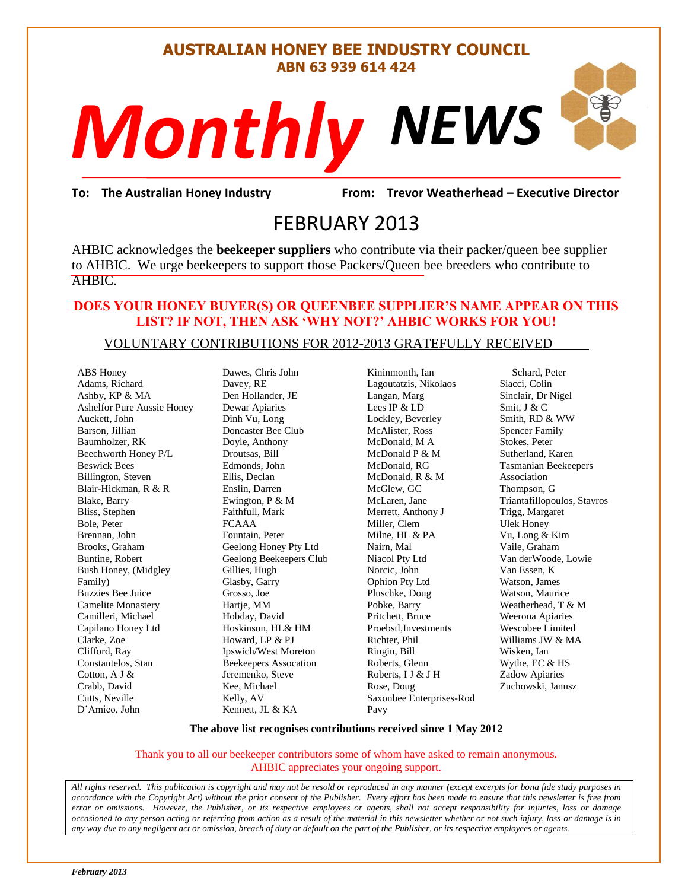#### **AUSTRALIAN HONEY BEE INDUSTRY COUNCIL ABN 63 939 614 424**

# *NEWS Monthly*r<br>Frevor Weathe<br>013

**To: The Australian Honey Industry From: Trevor Weatherhead – Executive Director**

## FEBRUARY 2013

AHBIC acknowledges the **beekeeper suppliers** who contribute via their packer/queen bee supplier to AHBIC. We urge beekeepers to support those Packers/Queen bee breeders who contribute to AHBIC.

#### **DOES YOUR HONEY BUYER(S) OR QUEENBEE SUPPLIER'S NAME APPEAR ON THIS LIST? IF NOT, THEN ASK 'WHY NOT?' AHBIC WORKS FOR YOU!**

#### VOLUNTARY CONTRIBUTIONS FOR 2012-2013 GRATEFULLY RECEIVED

ABS Honey Adams, Richard Ashby, KP & MA Ashelfor Pure Aussie Honey Auckett, John Barson, Jillian Baumholzer, RK Beechworth Honey P/L Beswick Bees Billington, Steven Blair-Hickman, R & R Blake, Barry Bliss, Stephen Bole, Peter Brennan, John Brooks, Graham Buntine, Robert Bush Honey, (Midgley Family) Buzzies Bee Juice Camelite Monastery Camilleri, Michael Capilano Honey Ltd Clarke, Zoe Clifford, Ray Constantelos, Stan Cotton, A J & Crabb, David Cutts, Neville D'Amico, John

Dawes, Chris John Davey, RE Den Hollander, JE Dewar Apiaries Dinh Vu, Long Doncaster Bee Club Doyle, Anthony Droutsas, Bill Edmonds, John Ellis, Declan Enslin, Darren Ewington, P & M Faithfull, Mark FCAAA Fountain, Peter Geelong Honey Pty Ltd Geelong Beekeepers Club Gillies, Hugh Glasby, Garry Grosso, Joe Hartje, MM Hobday, David Hoskinson, HL& HM Howard, LP & PJ Ipswich/West Moreton Beekeepers Assocation Jeremenko, Steve Kee, Michael Kelly, AV Kennett, JL & KA

Kininmonth, Ian Lagoutatzis, Nikolaos Langan, Marg Lees IP & LD Lockley, Beverley McAlister, Ross McDonald, M A McDonald P & M McDonald, RG McDonald, R & M McGlew, GC McLaren, Jane Merrett, Anthony J Miller, Clem Milne, HL & PA Nairn, Mal Niacol Pty Ltd Norcic, John Ophion Pty Ltd Pluschke, Doug Pobke, Barry Pritchett, Bruce Proebstl,Investments Richter, Phil Ringin, Bill Roberts, Glenn Roberts, I J & J H Rose, Doug Saxonbee Enterprises-Rod Pavy

 Schard, Peter Siacci, Colin Sinclair, Dr Nigel Smit, J & C Smith, RD & WW Spencer Family Stokes, Peter Sutherland, Karen Tasmanian Beekeepers Association Thompson, G Triantafillopoulos, Stavros Trigg, Margaret Ulek Honey Vu, Long & Kim Vaile, Graham Van derWoode, Lowie Van Essen, K Watson, James Watson, Maurice Weatherhead, T & M Weerona Apiaries Wescobee Limited Williams JW & MA Wisken, Ian Wythe, EC & HS Zadow Apiaries Zuchowski, Janusz

S

#### **The above list recognises contributions received since 1 May 2012**

#### Thank you to all our beekeeper contributors some of whom have asked to remain anonymous. AHBIC appreciates your ongoing support.

*All rights reserved. This publication is copyright and may not be resold or reproduced in any manner (except excerpts for bona fide study purposes in accordance with the Copyright Act) without the prior consent of the Publisher. Every effort has been made to ensure that this newsletter is free from error or omissions. However, the Publisher, or its respective employees or agents, shall not accept responsibility for injuries, loss or damage occasioned to any person acting or referring from action as a result of the material in this newsletter whether or not such injury, loss or damage is in any way due to any negligent act or omission, breach of duty or default on the part of the Publisher, or its respective employees or agents.*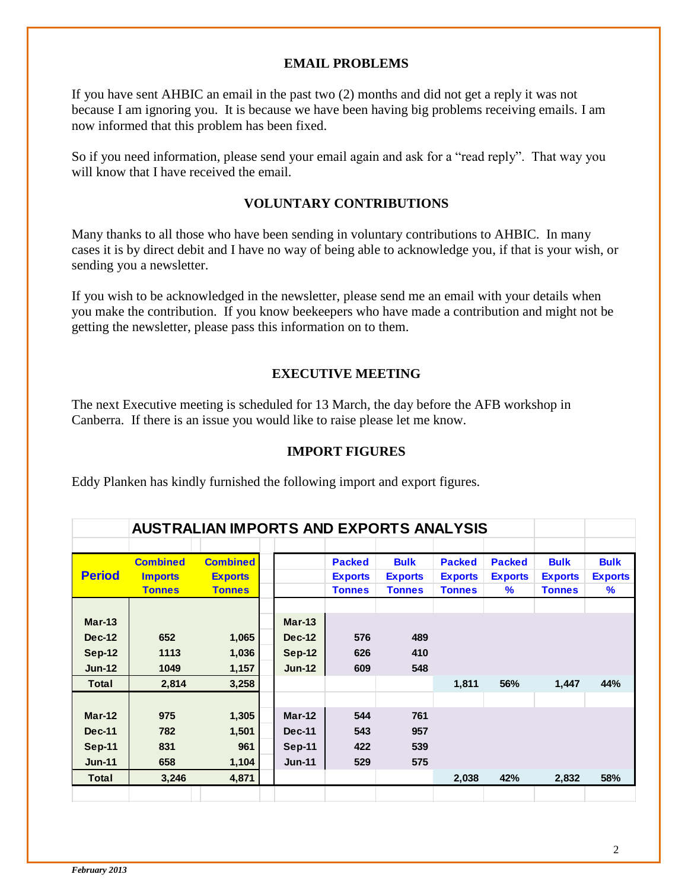#### **EMAIL PROBLEMS**

If you have sent AHBIC an email in the past two (2) months and did not get a reply it was not because I am ignoring you. It is because we have been having big problems receiving emails. I am now informed that this problem has been fixed.

So if you need information, please send your email again and ask for a "read reply". That way you will know that I have received the email.

#### **VOLUNTARY CONTRIBUTIONS**

Many thanks to all those who have been sending in voluntary contributions to AHBIC. In many cases it is by direct debit and I have no way of being able to acknowledge you, if that is your wish, or sending you a newsletter.

If you wish to be acknowledged in the newsletter, please send me an email with your details when you make the contribution. If you know beekeepers who have made a contribution and might not be getting the newsletter, please pass this information on to them.

#### **EXECUTIVE MEETING**

The next Executive meeting is scheduled for 13 March, the day before the AFB workshop in Canberra. If there is an issue you would like to raise please let me know.

#### **IMPORT FIGURES**

Eddy Planken has kindly furnished the following import and export figures.

|               | <b>AUSTRALIAN IMPORTS AND EXPORTS ANALYSIS</b> |                 |  |               |                |                |                |                |                |                |
|---------------|------------------------------------------------|-----------------|--|---------------|----------------|----------------|----------------|----------------|----------------|----------------|
|               |                                                |                 |  |               |                |                |                |                |                |                |
|               | <b>Combined</b>                                | <b>Combined</b> |  |               | <b>Packed</b>  | <b>Bulk</b>    | <b>Packed</b>  | <b>Packed</b>  | <b>Bulk</b>    | <b>Bulk</b>    |
| <b>Period</b> | <b>Imports</b>                                 | <b>Exports</b>  |  |               | <b>Exports</b> | <b>Exports</b> | <b>Exports</b> | <b>Exports</b> | <b>Exports</b> | <b>Exports</b> |
|               | <b>Tonnes</b>                                  | <b>Tonnes</b>   |  |               | <b>Tonnes</b>  | <b>Tonnes</b>  | <b>Tonnes</b>  | $\%$           | <b>Tonnes</b>  | $\%$           |
| $Mar-13$      |                                                |                 |  | $Mar-13$      |                |                |                |                |                |                |
| <b>Dec-12</b> | 652                                            | 1,065           |  | <b>Dec-12</b> | 576            | 489            |                |                |                |                |
| $Sep-12$      | 1113                                           | 1,036           |  | <b>Sep-12</b> | 626            | 410            |                |                |                |                |
| $Jun-12$      | 1049                                           | 1,157           |  | $Jun-12$      | 609            | 548            |                |                |                |                |
| <b>Total</b>  | 2,814                                          | 3,258           |  |               |                |                | 1,811          | 56%            | 1,447          | 44%            |
|               |                                                |                 |  |               |                |                |                |                |                |                |
| $Mar-12$      | 975                                            | 1,305           |  | Mar-12        | 544            | 761            |                |                |                |                |
| <b>Dec-11</b> | 782                                            | 1,501           |  | <b>Dec-11</b> | 543            | 957            |                |                |                |                |
| $Sep-11$      | 831                                            | 961             |  | Sep-11        | 422            | 539            |                |                |                |                |
| $Jun-11$      | 658                                            | 1,104           |  | $Jun-11$      | 529            | 575            |                |                |                |                |
| <b>Total</b>  | 3,246                                          | 4,871           |  |               |                |                | 2,038          | 42%            | 2,832          | 58%            |
|               |                                                |                 |  |               |                |                |                |                |                |                |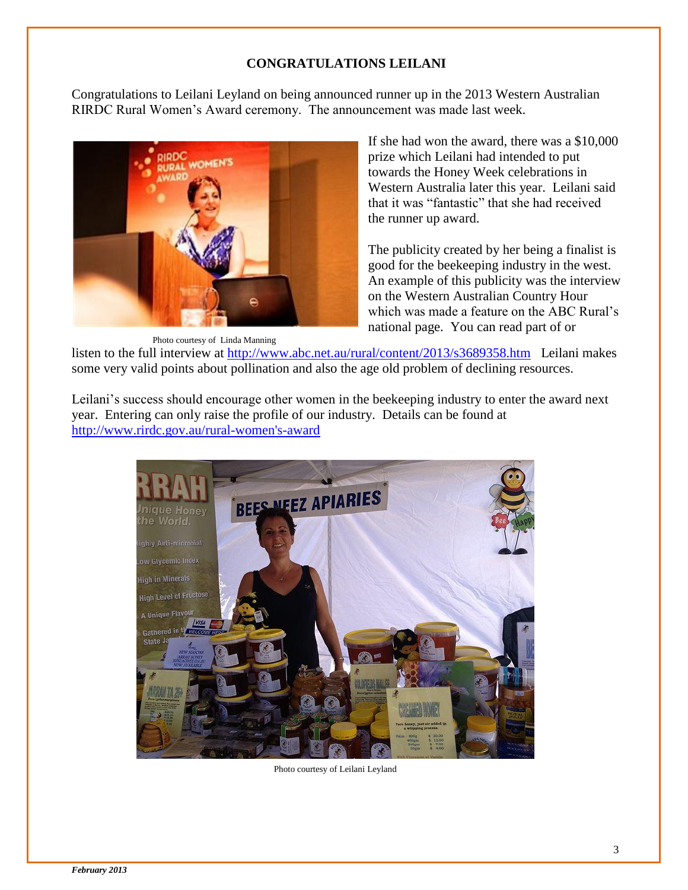#### **CONGRATULATIONS LEILANI**

Congratulations to Leilani Leyland on being announced runner up in the 2013 Western Australian RIRDC Rural Women's Award ceremony. The announcement was made last week.



If she had won the award, there was a \$10,000 prize which Leilani had intended to put towards the Honey Week celebrations in Western Australia later this year. Leilani said that it was "fantastic" that she had received the runner up award.

The publicity created by her being a finalist is good for the beekeeping industry in the west. An example of this publicity was the interview on the Western Australian Country Hour which was made a feature on the ABC Rural's national page. You can read part of or

Photo courtesy of Linda Manning

listen to the full interview at<http://www.abc.net.au/rural/content/2013/s3689358.htm> Leilani makes some very valid points about pollination and also the age old problem of declining resources.

Leilani's success should encourage other women in the beekeeping industry to enter the award next year. Entering can only raise the profile of our industry. Details can be found at [http://www.rirdc.gov.au/rural-women's-award](http://www.rirdc.gov.au/rural-women)



Photo courtesy of Leilani Leyland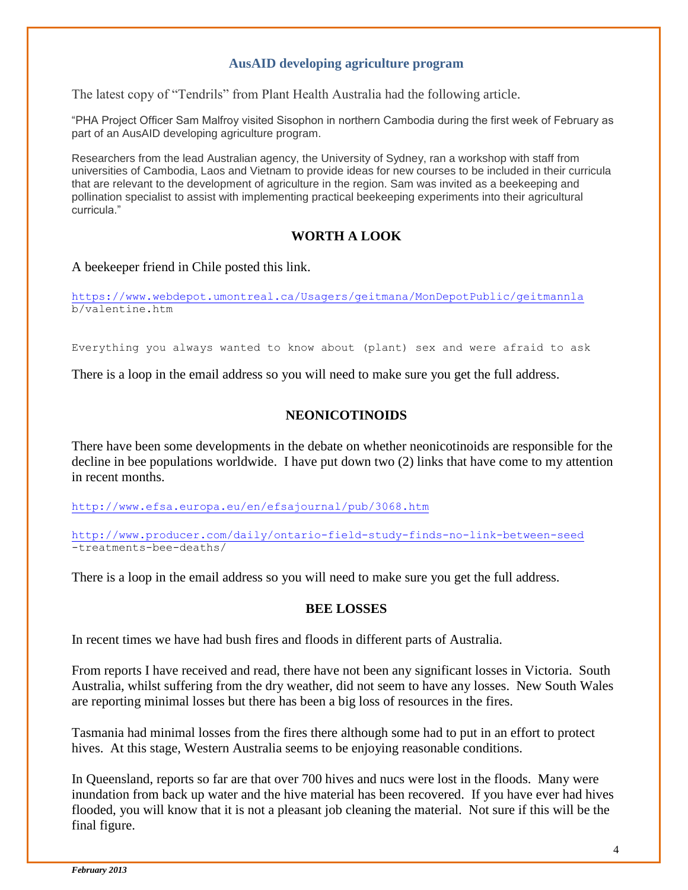#### **AusAID developing agriculture program**

The latest copy of "Tendrils" from Plant Health Australia had the following article.

"PHA Project Officer Sam Malfroy visited Sisophon in northern Cambodia during the first week of February as part of an AusAID developing agriculture program.

Researchers from the lead Australian agency, the University of Sydney, ran a workshop with staff from universities of Cambodia, Laos and Vietnam to provide ideas for new courses to be included in their curricula that are relevant to the development of agriculture in the region. Sam was invited as a beekeeping and pollination specialist to assist with implementing practical beekeeping experiments into their agricultural curricula."

#### **WORTH A LOOK**

#### A beekeeper friend in Chile posted this link.

<https://www.webdepot.umontreal.ca/Usagers/geitmana/MonDepotPublic/geitmannla> b/valentine.htm

Everything you always wanted to know about (plant) sex and were afraid to ask

There is a loop in the email address so you will need to make sure you get the full address.

#### **NEONICOTINOIDS**

There have been some developments in the debate on whether neonicotinoids are responsible for the decline in bee populations worldwide. I have put down two (2) links that have come to my attention in recent months.

<http://www.efsa.europa.eu/en/efsajournal/pub/3068.htm>

<http://www.producer.com/daily/ontario-field-study-finds-no-link-between-seed> -treatments-bee-deaths/

There is a loop in the email address so you will need to make sure you get the full address.

#### **BEE LOSSES**

In recent times we have had bush fires and floods in different parts of Australia.

From reports I have received and read, there have not been any significant losses in Victoria. South Australia, whilst suffering from the dry weather, did not seem to have any losses. New South Wales are reporting minimal losses but there has been a big loss of resources in the fires.

Tasmania had minimal losses from the fires there although some had to put in an effort to protect hives. At this stage, Western Australia seems to be enjoying reasonable conditions.

In Queensland, reports so far are that over 700 hives and nucs were lost in the floods. Many were inundation from back up water and the hive material has been recovered. If you have ever had hives flooded, you will know that it is not a pleasant job cleaning the material. Not sure if this will be the final figure.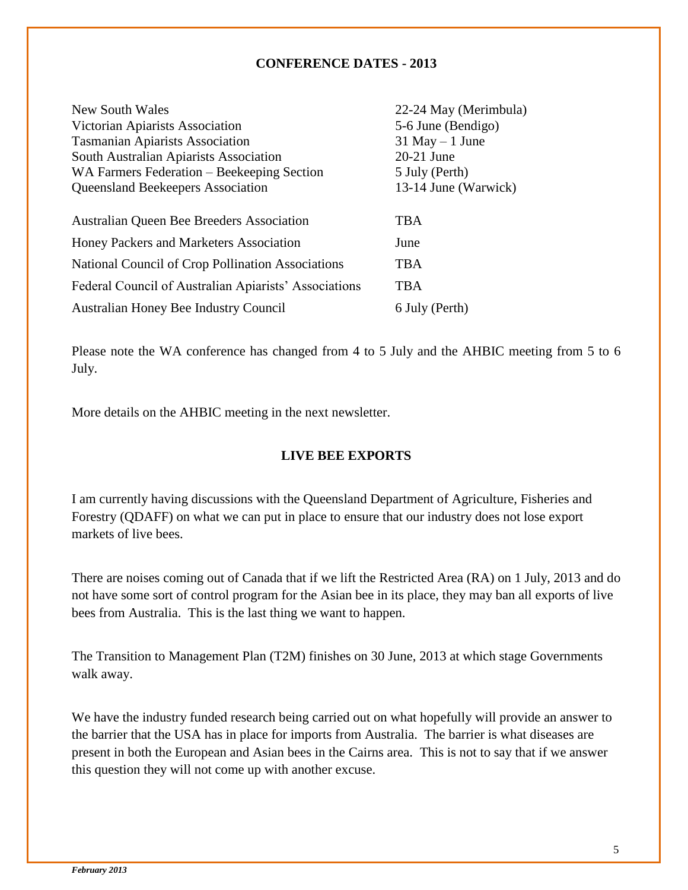#### **CONFERENCE DATES - 2013**

| 22-24 May (Merimbula) |
|-----------------------|
| 5-6 June (Bendigo)    |
| $31$ May $-1$ June    |
| 20-21 June            |
| 5 July (Perth)        |
| 13-14 June (Warwick)  |
|                       |
| <b>TBA</b>            |
| June                  |
| <b>TBA</b>            |
| TBA                   |
| 6 July (Perth)        |
|                       |

Please note the WA conference has changed from 4 to 5 July and the AHBIC meeting from 5 to 6 July.

More details on the AHBIC meeting in the next newsletter.

#### **LIVE BEE EXPORTS**

I am currently having discussions with the Queensland Department of Agriculture, Fisheries and Forestry (QDAFF) on what we can put in place to ensure that our industry does not lose export markets of live bees.

There are noises coming out of Canada that if we lift the Restricted Area (RA) on 1 July, 2013 and do not have some sort of control program for the Asian bee in its place, they may ban all exports of live bees from Australia. This is the last thing we want to happen.

The Transition to Management Plan (T2M) finishes on 30 June, 2013 at which stage Governments walk away.

We have the industry funded research being carried out on what hopefully will provide an answer to the barrier that the USA has in place for imports from Australia. The barrier is what diseases are present in both the European and Asian bees in the Cairns area. This is not to say that if we answer this question they will not come up with another excuse.